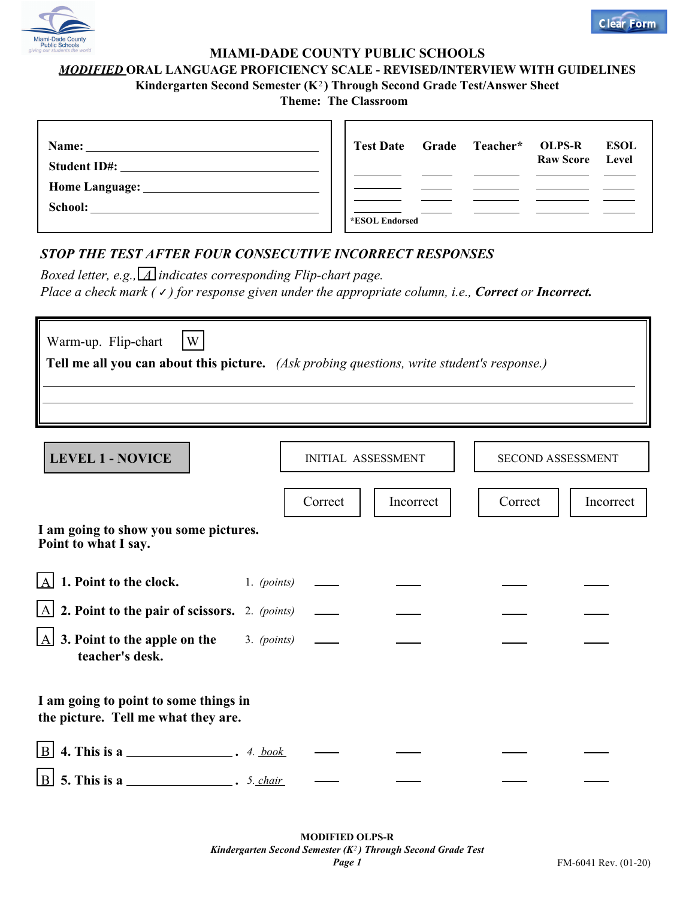

## **MIAMI-DADE COUNTY PUBLIC SCHOOLS**

## *MODIFIED* **ORAL LANGUAGE PROFICIENCY SCALE - REVISED/INTERVIEW WITH GUIDELINES**

Kindergarten Second Semester (K<sup>2</sup>) Through Second Grade Test/Answer Sheet

**Theme: The Classroom** 

| Name:<br><b>Student ID#:</b>  |                | Test Date Grade Teacher* OLPS-R | <b>Raw Score</b> | <b>ESOL</b><br>Level |
|-------------------------------|----------------|---------------------------------|------------------|----------------------|
|                               |                |                                 |                  |                      |
| Home Language: ______________ |                |                                 |                  |                      |
| School:                       | *ESOL Endorsed |                                 |                  |                      |

## *STOP THE TEST AFTER FOUR CONSECUTIVE INCORRECT RESPONSES*

*Boxed letter, e.g., A indicates corresponding Flip-chart page. Place a check mark (√) for response given under the appropriate column, i.e., Correct or Incorrect.* 

| Warm-up. Flip-chart<br>W<br>Tell me all you can about this picture. (Ask probing questions, write student's response.) |         |                           |                          |           |  |  |  |  |  |
|------------------------------------------------------------------------------------------------------------------------|---------|---------------------------|--------------------------|-----------|--|--|--|--|--|
| <b>LEVEL 1 - NOVICE</b>                                                                                                |         | <b>INITIAL ASSESSMENT</b> | <b>SECOND ASSESSMENT</b> |           |  |  |  |  |  |
|                                                                                                                        | Correct | Incorrect                 | Correct                  | Incorrect |  |  |  |  |  |
| I am going to show you some pictures.<br>Point to what I say.                                                          |         |                           |                          |           |  |  |  |  |  |
| $\overline{A}$ 1. Point to the clock.<br>1. $(points)$                                                                 |         |                           |                          |           |  |  |  |  |  |
| $\boxed{A}$ 2. Point to the pair of scissors. 2. (points)                                                              |         |                           |                          |           |  |  |  |  |  |
| $\lfloor A \rfloor$ 3. Point to the apple on the<br>$3.$ (points)<br>teacher's desk.                                   |         |                           |                          |           |  |  |  |  |  |
| I am going to point to some things in<br>the picture. Tell me what they are.                                           |         |                           |                          |           |  |  |  |  |  |
|                                                                                                                        |         |                           |                          |           |  |  |  |  |  |
| $\boxed{B}$ 5. This is a ______________________. 5. chair                                                              |         |                           |                          |           |  |  |  |  |  |

**Clear Form**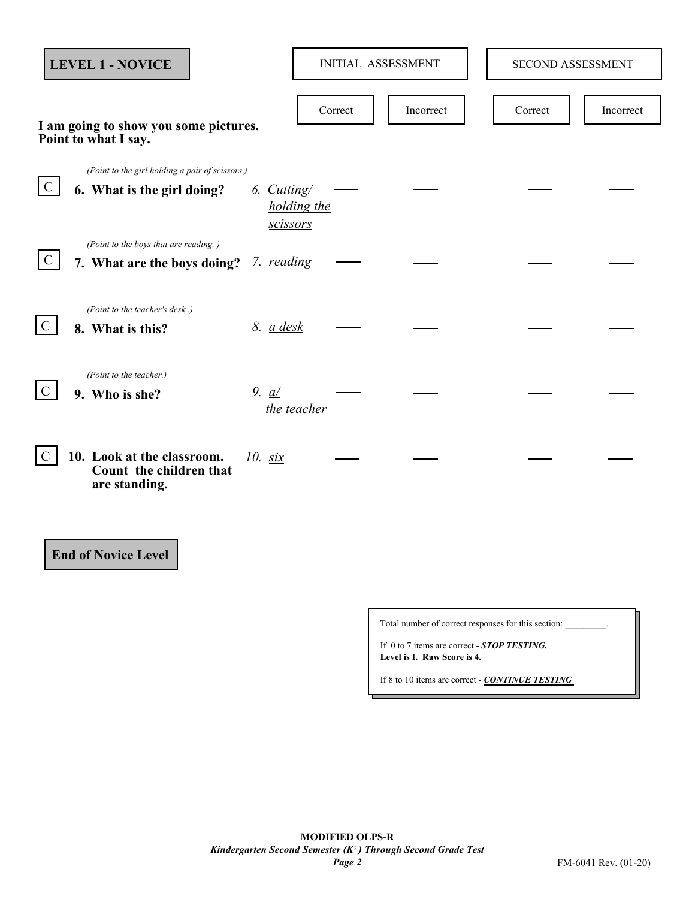|               | <b>LEVEL 1 - NOVICE</b>                                                       |                                        | <b>INITIAL ASSESSMENT</b> |           | SECOND ASSESSMENT |           |
|---------------|-------------------------------------------------------------------------------|----------------------------------------|---------------------------|-----------|-------------------|-----------|
|               | I am going to show you some pictures.<br>Point to what I say.                 |                                        | Correct                   | Incorrect | Correct           | Incorrect |
| $\mathcal{C}$ | (Point to the girl holding a pair of scissors.)<br>6. What is the girl doing? | 6. Cutting/<br>holding the<br>scissors |                           |           |                   |           |
| $\mathcal{C}$ | (Point to the boys that are reading.)<br>7. What are the boys doing?          | 7. reading                             |                           |           |                   |           |
| $\mathcal{C}$ | (Point to the teacher's desk.)<br>8. What is this?                            | 8. a desk                              |                           |           |                   |           |
| $\mathcal{C}$ | (Point to the teacher.)<br>9. Who is she?                                     | 9. $a/$<br>the teacher                 |                           |           |                   |           |
| $\mathcal{C}$ | 10. Look at the classroom.<br>Count the children that<br>are standing.        | $10.$ six                              |                           |           |                   |           |
|               | <b>End of Novice Level</b>                                                    |                                        |                           |           |                   |           |

Total number of correct responses for this section:

If <u>0</u> to 7 items are correct - **STOP TESTING**. **Level is I. Raw Score is 4.** 

If 8 to 10 items are correct - *CONTINUE TESTING*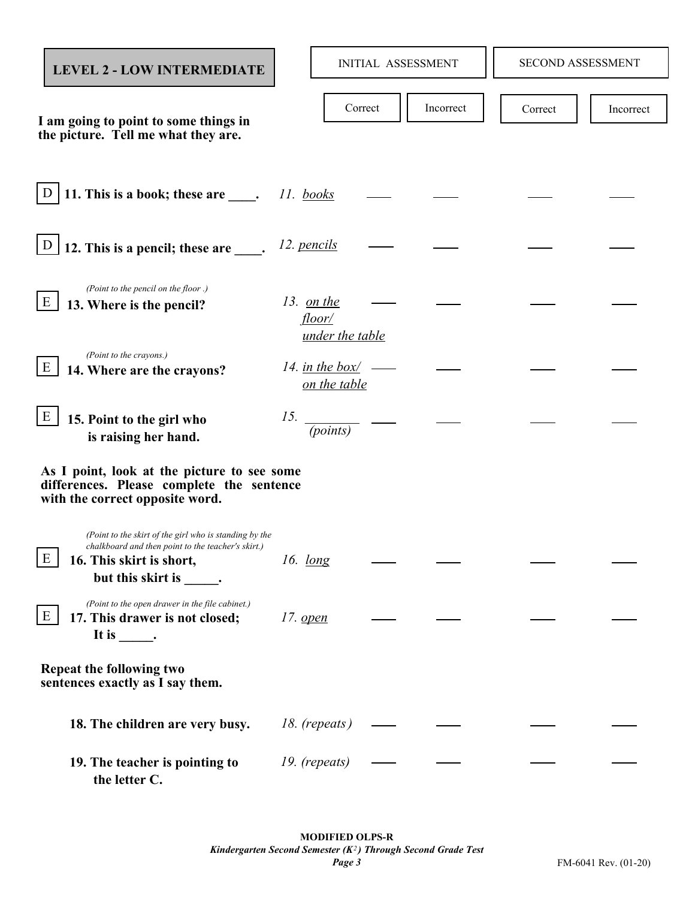| <b>LEVEL 2 - LOW INTERMEDIATE</b>                                                                                                                                    |                 |                                                | <b>INITIAL ASSESSMENT</b> |           | SECOND ASSESSMENT |           |
|----------------------------------------------------------------------------------------------------------------------------------------------------------------------|-----------------|------------------------------------------------|---------------------------|-----------|-------------------|-----------|
| I am going to point to some things in<br>the picture. Tell me what they are.                                                                                         |                 |                                                | Correct                   | Incorrect | Correct           | Incorrect |
| 11. This is a book; these are $\qquad \qquad$ . 11. books<br>D                                                                                                       |                 |                                                |                           |           |                   |           |
| D<br>12. This is a pencil; these are _____.                                                                                                                          |                 | 12. pencils                                    |                           |           |                   |           |
| (Point to the pencil on the floor .)<br>E<br>13. Where is the pencil?                                                                                                |                 | 13. <u>on the</u><br>floor/<br>under the table |                           |           |                   |           |
| (Point to the crayons.)<br>Ε<br>14. Where are the crayons?                                                                                                           |                 | 14. in the box/<br>on the table                |                           |           |                   |           |
| E<br>15. Point to the girl who<br>is raising her hand.                                                                                                               | 15.             | (points)                                       |                           |           |                   |           |
| As I point, look at the picture to see some<br>differences. Please complete the sentence<br>with the correct opposite word.                                          |                 |                                                |                           |           |                   |           |
| (Point to the skirt of the girl who is standing by the<br>chalkboard and then point to the teacher's skirt.)<br>Ε<br>16. This skirt is short,<br>but this skirt is . | 16. $long$      |                                                |                           |           |                   |           |
| (Point to the open drawer in the file cabinet.)<br>E<br>17. This drawer is not closed;                                                                               | 17. <u>open</u> |                                                |                           |           |                   |           |
| Repeat the following two<br>sentences exactly as I say them.                                                                                                         |                 |                                                |                           |           |                   |           |
| 18. The children are very busy.                                                                                                                                      |                 | 18. (repeats)                                  |                           |           |                   |           |
| 19. The teacher is pointing to<br>the letter C.                                                                                                                      |                 | 19. (repeats)                                  |                           |           |                   |           |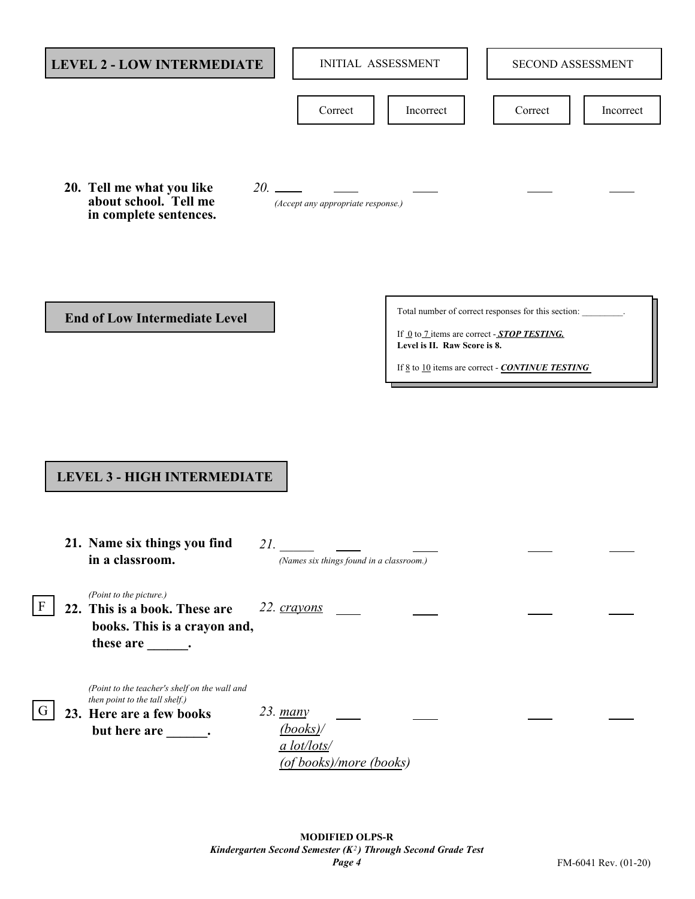| <b>LEVEL 2 - LOW INTERMEDIATE</b>                                                                                                         | <b>INITIAL ASSESSMENT</b>                                     |                              | SECOND ASSESSMENT                                                                                                                                                                  |           |
|-------------------------------------------------------------------------------------------------------------------------------------------|---------------------------------------------------------------|------------------------------|------------------------------------------------------------------------------------------------------------------------------------------------------------------------------------|-----------|
|                                                                                                                                           | Correct                                                       | Incorrect                    | Correct                                                                                                                                                                            | Incorrect |
| 20. Tell me what you like<br>about school. Tell me<br>in complete sentences.                                                              | $20.$ $\frac{ }{ }$<br>(Accept any appropriate response.)     |                              |                                                                                                                                                                                    |           |
| <b>End of Low Intermediate Level</b>                                                                                                      |                                                               | Level is II. Raw Score is 8. | Total number of correct responses for this section:<br>If <u>0</u> to 7 items are correct - <b>STOP TESTING</b> .<br>If <u>8</u> to 10 items are correct - <b>CONTINUE TESTING</b> |           |
|                                                                                                                                           |                                                               |                              |                                                                                                                                                                                    |           |
| <b>LEVEL 3 - HIGH INTERMEDIATE</b>                                                                                                        |                                                               |                              |                                                                                                                                                                                    |           |
| 21. Name six things you find<br>in a classroom.                                                                                           | 21.<br>(Names six things found in a classroom.)               |                              |                                                                                                                                                                                    |           |
| (Point to the picture.)<br>F<br>22. This is a book. These are<br>books. This is a crayon and,<br>these are _______.                       | 22. crayons                                                   |                              |                                                                                                                                                                                    |           |
| (Point to the teacher's shelf on the wall and<br>then point to the tall shelf.)<br>G<br>23. Here are a few books<br>but here are _______. | 23. many<br>(books)<br>a lot/lots/<br>(of books)/more (books) |                              |                                                                                                                                                                                    |           |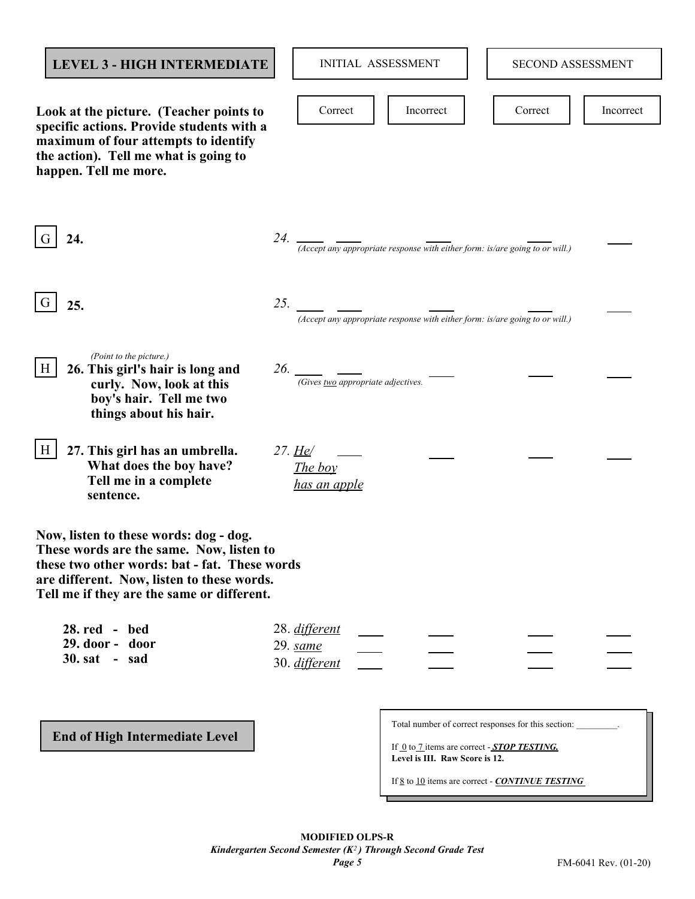| <b>LEVEL 3 - HIGH INTERMEDIATE</b>                                                                                                                                                                                              | <b>INITIAL ASSESSMENT</b><br>SECOND ASSESSMENT                                                                                                                                                                                                                 |  |
|---------------------------------------------------------------------------------------------------------------------------------------------------------------------------------------------------------------------------------|----------------------------------------------------------------------------------------------------------------------------------------------------------------------------------------------------------------------------------------------------------------|--|
| Look at the picture. (Teacher points to<br>specific actions. Provide students with a<br>maximum of four attempts to identify<br>the action). Tell me what is going to<br>happen. Tell me more.                                  | Correct<br>Incorrect<br>Correct<br>Incorrect                                                                                                                                                                                                                   |  |
| 24.                                                                                                                                                                                                                             | 24. $\frac{1}{24}$ (Accept any appropriate response with either form: is/are going to or will.)                                                                                                                                                                |  |
| 25.                                                                                                                                                                                                                             | 25.<br>(Accept any appropriate response with either form: is/are going to or will.)                                                                                                                                                                            |  |
| (Point to the picture.)<br>26. This girl's hair is long and<br>H<br>curly. Now, look at this<br>boy's hair. Tell me two<br>things about his hair.                                                                               | (Gives two appropriate adjectives.                                                                                                                                                                                                                             |  |
| 27. This girl has an umbrella.<br>H<br>What does the boy have?<br>Tell me in a complete<br>sentence.                                                                                                                            | 27. <u>He</u> /<br>The boy<br>has an apple                                                                                                                                                                                                                     |  |
| Now, listen to these words: dog - dog.<br>These words are the same. Now, listen to<br>these two other words: bat - fat. These words<br>are different. Now, listen to these words.<br>Tell me if they are the same or different. |                                                                                                                                                                                                                                                                |  |
| 28. red - bed<br>29. door - door<br>$30. sat - sad$                                                                                                                                                                             | 28. different<br>29. same<br>30. different                                                                                                                                                                                                                     |  |
| <b>End of High Intermediate Level</b>                                                                                                                                                                                           | Total number of correct responses for this section:<br>If $\underline{0}$ to $\underline{7}$ items are correct - <b>STOP TESTING</b> .<br>Level is III. Raw Score is 12.<br>If $\underline{8}$ to $\underline{10}$ items are correct - <b>CONTINUE TESTING</b> |  |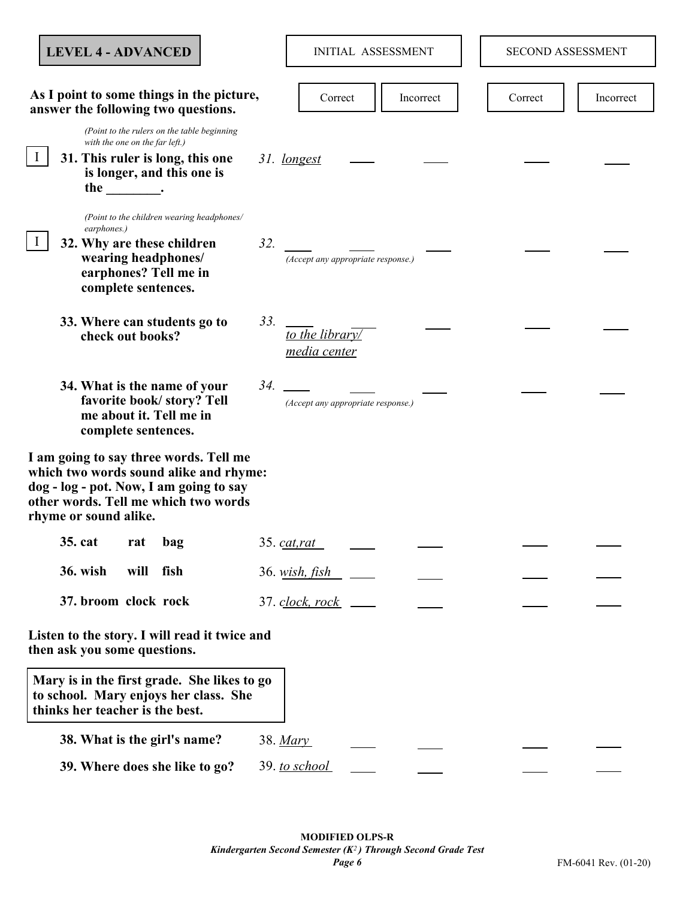| <b>LEVEL 4 - ADVANCED</b>                                                                                                                                                                                                                                                                                                                                                         |     |                                    | <b>INITIAL ASSESSMENT</b> | <b>SECOND ASSESSMENT</b> |           |
|-----------------------------------------------------------------------------------------------------------------------------------------------------------------------------------------------------------------------------------------------------------------------------------------------------------------------------------------------------------------------------------|-----|------------------------------------|---------------------------|--------------------------|-----------|
|                                                                                                                                                                                                                                                                                                                                                                                   |     |                                    |                           |                          |           |
| As I point to some things in the picture,<br>answer the following two questions.                                                                                                                                                                                                                                                                                                  |     | Correct                            | Incorrect                 | Correct                  | Incorrect |
| (Point to the rulers on the table beginning<br>with the one on the far left.)<br>31. This ruler is long, this one<br>is longer, and this one is<br>the the the set of the set of the set of the set of the set of the set of the set of the set of the set of the set of the set of the set of the set of the set of the set of the set of the set of the set of the set of the s |     | 31. longest                        |                           |                          |           |
| (Point to the children wearing headphones/<br>earphones.)<br>32. Why are these children<br>wearing headphones/<br>earphones? Tell me in<br>complete sentences.                                                                                                                                                                                                                    | 32. | (Accept any appropriate response.) |                           |                          |           |
| 33. Where can students go to<br>check out books?                                                                                                                                                                                                                                                                                                                                  | 33. | to the library/<br>media center    |                           |                          |           |
| 34. What is the name of your<br>favorite book/story? Tell<br>me about it. Tell me in<br>complete sentences.                                                                                                                                                                                                                                                                       | 34. | (Accept any appropriate response.) |                           |                          |           |
| I am going to say three words. Tell me<br>which two words sound alike and rhyme:<br>dog - log - pot. Now, I am going to say<br>other words. Tell me which two words<br>rhyme or sound alike.                                                                                                                                                                                      |     |                                    |                           |                          |           |
| 35. cat<br>rat<br>bag                                                                                                                                                                                                                                                                                                                                                             |     | 35. c <u>at</u> , rat              |                           |                          |           |
| <b>36. wish</b><br>will<br>fish                                                                                                                                                                                                                                                                                                                                                   |     | 36. wish, fish                     |                           |                          |           |
| 37. broom clock rock                                                                                                                                                                                                                                                                                                                                                              |     | 37. clock, rock                    |                           |                          |           |
| Listen to the story. I will read it twice and<br>then ask you some questions.                                                                                                                                                                                                                                                                                                     |     |                                    |                           |                          |           |
| Mary is in the first grade. She likes to go<br>to school. Mary enjoys her class. She<br>thinks her teacher is the best.                                                                                                                                                                                                                                                           |     |                                    |                           |                          |           |
| 38. What is the girl's name?                                                                                                                                                                                                                                                                                                                                                      |     | 38. Mary                           |                           |                          |           |
| 39. Where does she like to go?                                                                                                                                                                                                                                                                                                                                                    |     | 39. to school                      |                           |                          |           |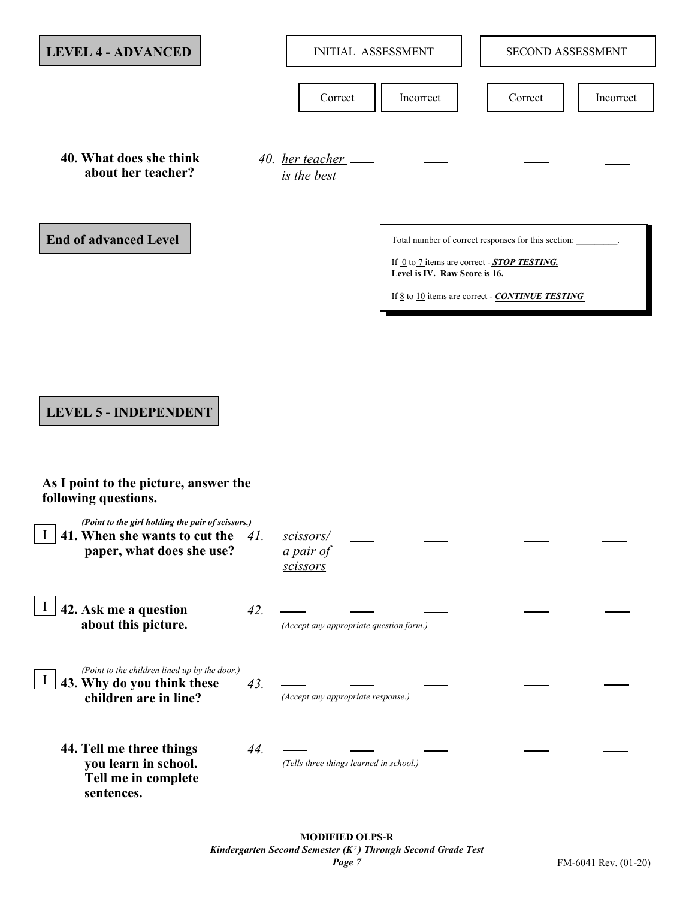| <b>LEVEL 4 - ADVANCED</b>                                                                                       |     | <b>INITIAL ASSESSMENT</b>                        |                                                                                          | <b>SECOND ASSESSMENT</b>                                      |           |
|-----------------------------------------------------------------------------------------------------------------|-----|--------------------------------------------------|------------------------------------------------------------------------------------------|---------------------------------------------------------------|-----------|
|                                                                                                                 |     |                                                  |                                                                                          |                                                               |           |
|                                                                                                                 |     | Correct                                          | Incorrect                                                                                | Correct                                                       | Incorrect |
| 40. What does she think<br>about her teacher?                                                                   |     | 40. her teacher<br>is the best                   |                                                                                          |                                                               |           |
| <b>End of advanced Level</b>                                                                                    |     |                                                  |                                                                                          | Total number of correct responses for this section:           |           |
|                                                                                                                 |     |                                                  | If $Q$ to $Z$ items are correct - <b>STOP TESTING</b> .<br>Level is IV. Raw Score is 16. |                                                               |           |
|                                                                                                                 |     |                                                  |                                                                                          | If <u>8</u> to 10 items are correct - <b>CONTINUE TESTING</b> |           |
|                                                                                                                 |     |                                                  |                                                                                          |                                                               |           |
|                                                                                                                 |     |                                                  |                                                                                          |                                                               |           |
| <b>LEVEL 5 - INDEPENDENT</b>                                                                                    |     |                                                  |                                                                                          |                                                               |           |
| As I point to the picture, answer the<br>following questions.                                                   |     |                                                  |                                                                                          |                                                               |           |
| (Point to the girl holding the pair of scissors.)<br>41. When she wants to cut the<br>paper, what does she use? | 41. | scissors/<br><u>a pair of</u><br><i>scissors</i> |                                                                                          |                                                               |           |
| 42. Ask me a question<br>about this picture.                                                                    | 42. | (Accept any appropriate question form.)          |                                                                                          |                                                               |           |
| (Point to the children lined up by the door.)<br>43. Why do you think these<br>children are in line?            | 43. | (Accept any appropriate response.)               |                                                                                          |                                                               |           |
| 44. Tell me three things<br>you learn in school.<br>Tell me in complete<br>sentences.                           | 44. | (Tells three things learned in school.)          |                                                                                          |                                                               |           |